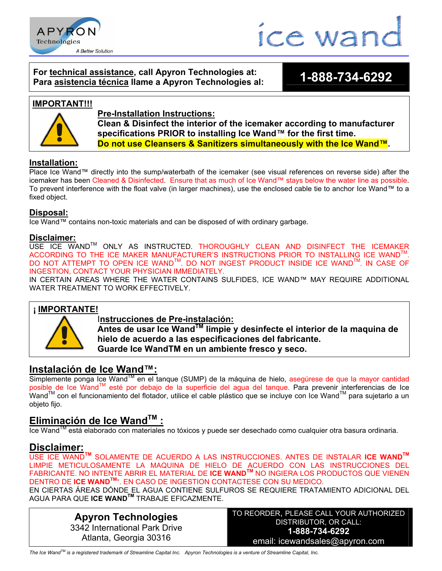



## **For technical assistance, call Apyron Technologies at: Para asistencia técnica llame a Apyron Technologies al: 1-888-734-6292**

#### **IMPORTANT!!!**



**Pre-Installation Instructions: Clean & Disinfect the interior of the icemaker according to manufacturer specifications PRIOR to installing Ice Wand™ for the first time. Do not use Cleansers & Sanitizers simultaneously with the Ice Wand™.**

# **Installation:**

Place Ice Wand™ directly into the sump/waterbath of the icemaker (see visual references on reverse side) after the icemaker has been Cleaned & Disinfected. Ensure that as much of Ice Wand™ stays below the water line as possible. To prevent interference with the float valve (in larger machines), use the enclosed cable tie to anchor Ice Wand™ to a fixed object.

## **Disposal:**

Ice Wand™ contains non-toxic materials and can be disposed of with ordinary garbage.

#### **Disclaimer:**

USE ICE WAND™ ONLY AS INSTRUCTED. THOROUGHLY CLEAN AND DISINFECT THE ICEMAKER ACCORDING TO THE ICE MAKER MANUFACTURER'S INSTRUCTIONS PRIOR TO INSTALLING ICE WANDTM. DO NOT ATTEMPT TO OPEN ICE WANDTM. DO NOT INGEST PRODUCT INSIDE ICE WANDTM. IN CASE OF INGESTION, CONTACT YOUR PHYSICIAN IMMEDIATELY.

IN CERTAIN AREAS WHERE THE WATER CONTAINS SULFIDES, ICE WAND™ MAY REQUIRE ADDITIONAL WATER TREATMENT TO WORK EFFECTIVELY.

## **¡ IMPORTANTE!**



## I**nstrucciones de Pre-instalación:**

**Antes de usar Ice WandTM limpie y desinfecte el interior de la maquina de hielo de acuerdo a las especificaciones del fabricante. Guarde Ice WandTM en un ambiente fresco y seco.**

# **Instalación de Ice Wand™:**

Simplemente ponga Ice Wand™ en el tanque (SUMP) de la máquina de hielo, asegúrese de que la mayor cantidad posible de Ice Wand™ esté por debajo de la superficie del agua del tanque. Para prevenir interferencias de Ice Wand™ con el funcionamiento del flotador, utilice el cable plástico que se incluye con Ice Wand™ para sujetarlo a un objeto fijo.

# **Eliminación de Ice Wand'<sup>M</sup> :**

Ice Wand™ está elaborado con materiales no tóxicos y puede ser desechado como cualquier otra basura ordinaria.

# **Disclaimer:**

USE ICE WAND**TM** SOLAMENTE DE ACUERDO A LAS INSTRUCCIONES. ANTES DE INSTALAR **ICE WANDTM** LIMPIE METICULOSAMENTE LA MAQUINA DE HIELO DE ACUERDO CON LAS INSTRUCCIONES DEL FABRICANTE. NO INTENTE ABRIR EL MATERIAL DE **ICE WANDTM** NO INGIERA LOS PRODUCTOS QUE VIENEN DENTRO DE **ICE WANDTM**". EN CASO DE INGESTION CONTACTESE CON SU MEDICO.

EN CIERTAS ÁREAS DÓNDE EL AGUA CONTIENE SULFUROS SE REQUIERE TRATAMIENTO ADICIONAL DEL AGUA PARA QUE **ICE WANDTM** TRABAJE EFICAZMENTE.

> **Apyron Technologies** 3342 International Park Drive Atlanta, Georgia 30316

TO REORDER, PLEASE CALL YOUR AUTHORIZED DISTRIBUTOR, OR CALL: **1-888-734-6292** email: icewandsales@apyron.com

*The Ice WandTM is a registered trademark of Streamline Capital Inc. Apyron Technologies is a venture of Streamline Capital, Inc.*